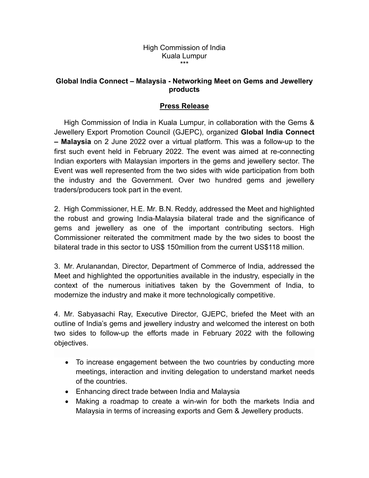## High Commission of India Kuala Lumpur \*\*\*

## **Global India Connect – Malaysia - Networking Meet on Gems and Jewellery products**

## **Press Release**

High Commission of India in Kuala Lumpur, in collaboration with the Gems & Jewellery Export Promotion Council (GJEPC), organized **Global India Connect – Malaysia** on 2 June 2022 over a virtual platform. This was a follow-up to the first such event held in February 2022. The event was aimed at re-connecting Indian exporters with Malaysian importers in the gems and jewellery sector. The Event was well represented from the two sideswith wide participation from both the industry and the Government. Over two hundred gems and jewellery traders/producers took part in the event.

2. High Commissioner, H.E. Mr. B.N. Reddy, addressed the Meet and highlighted the robust and growing India-Malaysia bilateral trade and the significance of gems and jewellery as one of the important contributing sectors. High Commissioner reiterated the commitment made by the two sides to boost the bilateral trade in this sector to US\$ 150million from the current US\$118 million.

3. Mr. Arulanandan, Director, Department of Commerce of India, addressed the Meet and highlighted the opportunities available in the industry, especially in the context of the numerous initiatives taken by the Government of India, to modernize the industry and make it more technologically competitive.

4. Mr. Sabyasachi Ray, Executive Director, GJEPC, briefed the Meet with an outline of India's gems and jewellery industry and welcomed the interest on both two sides to follow-up the efforts made in February 2022 with the following objectives.

- To increase engagement between the two countries by conducting more meetings, interaction and inviting delegation to understand market needs of the countries.
- Enhancing direct trade between India and Malaysia
- Making a roadmap to create a win-win for both the markets India and Malaysia in terms of increasing exports and Gem & Jewellery products.